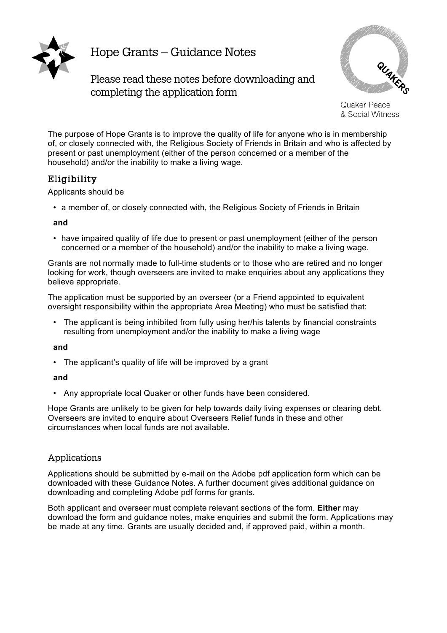

Hope Grants – Guidance Notes

Please read these notes before downloading and completing the application form



Quaker Peace & Social Witness

The purpose of Hope Grants is to improve the quality of life for anyone who is in membership of, or closely connected with, the Religious Society of Friends in Britain and who is affected by present or past unemployment (either of the person concerned or a member of the household) and/or the inability to make a living wage.

# Eligibility

#### Applicants should be

• a member of, or closely connected with, the Religious Society of Friends in Britain

#### **and**

• have impaired quality of life due to present or past unemployment (either of the person concerned or a member of the household) and/or the inability to make a living wage.

Grants are not normally made to full-time students or to those who are retired and no longer looking for work, though overseers are invited to make enquiries about any applications they believe appropriate.

The application must be supported by an overseer (or a Friend appointed to equivalent oversight responsibility within the appropriate Area Meeting) who must be satisfied that:

• The applicant is being inhibited from fully using her/his talents by financial constraints resulting from unemployment and/or the inability to make a living wage

#### **and**

• The applicant's quality of life will be improved by a grant

## **and**

• Any appropriate local Quaker or other funds have been considered.

Hope Grants are unlikely to be given for help towards daily living expenses or clearing debt. Overseers are invited to enquire about Overseers Relief funds in these and other circumstances when local funds are not available.

## Applications

Applications should be submitted by e-mail on the Adobe pdf application form which can be downloaded with these Guidance Notes. A further document gives additional guidance on downloading and completing Adobe pdf forms for grants.

Both applicant and overseer must complete relevant sections of the form. **Either** may download the form and guidance notes, make enquiries and submit the form. Applications may be made at any time. Grants are usually decided and, if approved paid, within a month.